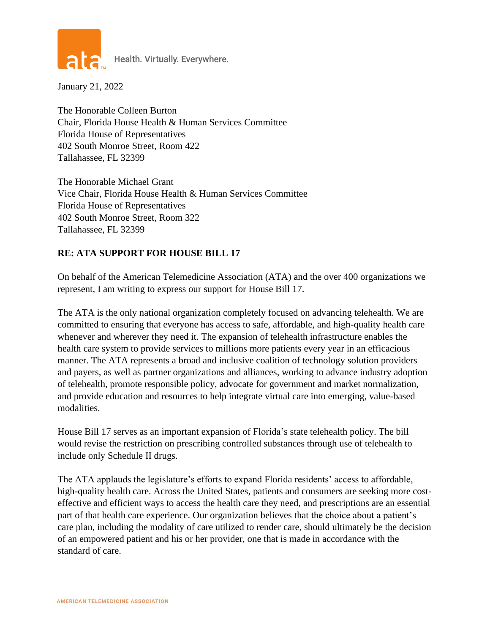

Health. Virtually. Everywhere.

January 21, 2022

The Honorable Colleen Burton Chair, Florida House Health & Human Services Committee Florida House of Representatives 402 South Monroe Street, Room 422 Tallahassee, FL 32399

The Honorable Michael Grant Vice Chair, Florida House Health & Human Services Committee Florida House of Representatives 402 South Monroe Street, Room 322 Tallahassee, FL 32399

## **RE: ATA SUPPORT FOR HOUSE BILL 17**

On behalf of the American Telemedicine Association (ATA) and the over 400 organizations we represent, I am writing to express our support for House Bill 17.

The ATA is the only national organization completely focused on advancing telehealth. We are committed to ensuring that everyone has access to safe, affordable, and high-quality health care whenever and wherever they need it. The expansion of telehealth infrastructure enables the health care system to provide services to millions more patients every year in an efficacious manner. The ATA represents a broad and inclusive coalition of technology solution providers and payers, as well as partner organizations and alliances, working to advance industry adoption of telehealth, promote responsible policy, advocate for government and market normalization, and provide education and resources to help integrate virtual care into emerging, value-based modalities.

House Bill 17 serves as an important expansion of Florida's state telehealth policy. The bill would revise the restriction on prescribing controlled substances through use of telehealth to include only Schedule II drugs.

The ATA applauds the legislature's efforts to expand Florida residents' access to affordable, high-quality health care. Across the United States, patients and consumers are seeking more costeffective and efficient ways to access the health care they need, and prescriptions are an essential part of that health care experience. Our organization believes that the choice about a patient's care plan, including the modality of care utilized to render care, should ultimately be the decision of an empowered patient and his or her provider, one that is made in accordance with the standard of care.